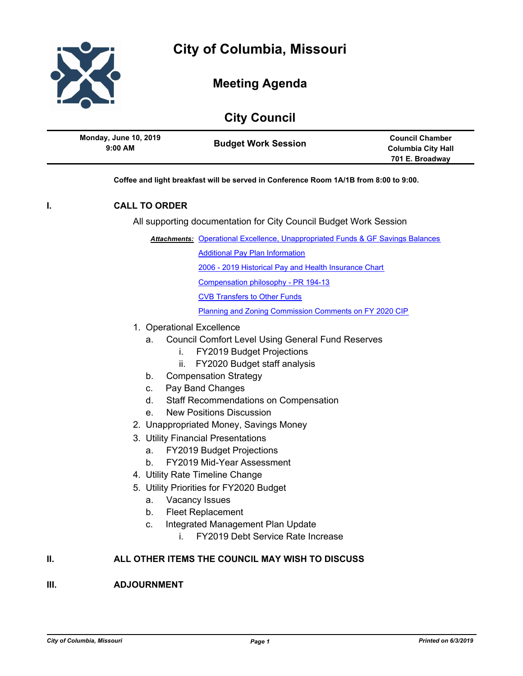

# **Meeting Agenda**

## **City Council**

| <b>Monday, June 10, 2019</b> | <b>Council Chamber</b> |
|------------------------------|------------------------|
| <b>Budget Work Session</b>   | Columbia City Hall     |
| $9:00$ AM                    | 701 E. Broadway        |

**Coffee and light breakfast will be served in Conference Room 1A/1B from 8:00 to 9:00.**

### **I. CALL TO ORDER**

All supporting documentation for City Council Budget Work Session

**Attachments: [Operational Excellence, Unappropriated Funds & GF Savings Balances](http://gocolumbiamo.legistar.com/gateway.aspx?M=F&ID=33fb0c2c-1cdb-43b4-b05c-d4c352534aa1.pdf)** 

[Additional Pay Plan Information](http://gocolumbiamo.legistar.com/gateway.aspx?M=F&ID=b4810ae3-1f70-44e6-9f76-df2b13907294.pdf)

[2006 - 2019 Historical Pay and Health Insurance Chart](http://gocolumbiamo.legistar.com/gateway.aspx?M=F&ID=fe865f0a-a14f-47e5-9909-da66b9e4be2a.pdf)

[Compensation philosophy - PR 194-13](http://gocolumbiamo.legistar.com/gateway.aspx?M=F&ID=17e84cc3-caaa-449e-a88c-17fd6832a5e1.pdf)

[CVB Transfers to Other Funds](http://gocolumbiamo.legistar.com/gateway.aspx?M=F&ID=23d43962-a24c-4355-b9d1-4515e2326069.pdf)

[Planning and Zoning Commission Comments on FY 2020 CIP](http://gocolumbiamo.legistar.com/gateway.aspx?M=F&ID=2be39923-12ca-4cb8-98fd-67a349b1c93e.pdf)

- 1. Operational Excellence
	- a. Council Comfort Level Using General Fund Reserves
		- i. FY2019 Budget Projections
		- ii. FY2020 Budget staff analysis
	- b. Compensation Strategy
	- c. Pay Band Changes
	- d. Staff Recommendations on Compensation
	- e. New Positions Discussion
- 2. Unappropriated Money, Savings Money
- 3. Utility Financial Presentations
	- a. FY2019 Budget Projections
	- b. FY2019 Mid-Year Assessment
- 4. Utility Rate Timeline Change
- 5. Utility Priorities for FY2020 Budget
	- a. Vacancy Issues
	- b. Fleet Replacement
	- c. Integrated Management Plan Update
		- i. FY2019 Debt Service Rate Increase

#### **II. ALL OTHER ITEMS THE COUNCIL MAY WISH TO DISCUSS**

#### **III. ADJOURNMENT**